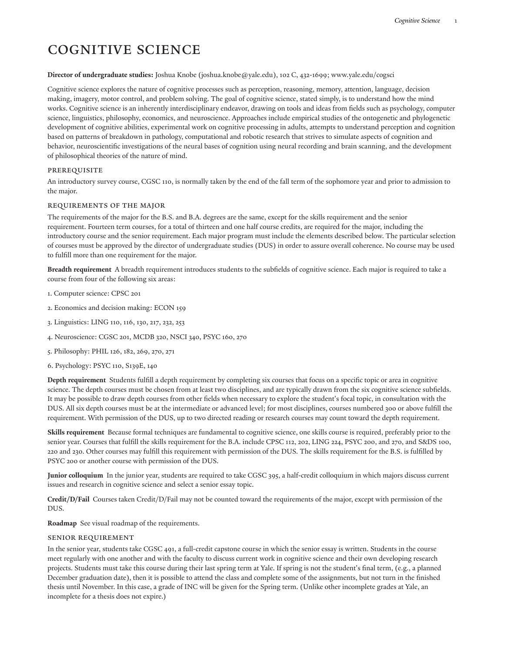# Cognitive Science

#### **Director of undergraduate studies:** [Joshua](mailto:joshua.knobe@yale.edu) Knobe [\(joshua.knobe@yale.edu](joshua.knobe@yale.edu)), 102 C, 432-1699; [www.yale.edu/cogsci](http://cogsci.yale.edu)

Cognitive science explores the nature of cognitive processes such as perception, reasoning, memory, attention, language, decision making, imagery, motor control, and problem solving. The goal of cognitive science, stated simply, is to understand how the mind works. Cognitive science is an inherently interdisciplinary endeavor, drawing on tools and ideas from fields such as psychology, computer science, linguistics, philosophy, economics, and neuroscience. Approaches include empirical studies of the ontogenetic and phylogenetic development of cognitive abilities, experimental work on cognitive processing in adults, attempts to understand perception and cognition based on patterns of breakdown in pathology, computational and robotic research that strives to simulate aspects of cognition and behavior, neuroscientific investigations of the neural bases of cognition using neural recording and brain scanning, and the development of philosophical theories of the nature of mind.

#### **PREREQUISITE**

An introductory survey course, CGSC 110, is normally taken by the end of the fall term of the sophomore year and prior to admission to the major.

#### Requirements of the Major

The requirements of the major for the B.S. and B.A. degrees are the same, except for the skills requirement and the senior requirement. Fourteen term courses, for a total of thirteen and one half course credits, are required for the major, including the introductory course and the senior requirement. Each major program must include the elements described below. The particular selection of courses must be approved by the director of undergraduate studies (DUS) in order to assure overall coherence. No course may be used to fulfill more than one requirement for the major.

**Breadth requirement** A breadth requirement introduces students to the subfields of cognitive science. Each major is required to take a course from four of the following six areas:

- 1. Computer science: CPSC 201
- 2. Economics and decision making: ECON 159
- 3. Linguistics: LING 110, 116, 130, 217, 232, 253
- 4. Neuroscience: CGSC 201, MCDB 320, NSCI 340, PSYC 160, 270
- 5. Philosophy: PHIL 126, 182, 269, 270, 271
- 6. Psychology: PSYC 110, S139E, 140

**Depth requirement** Students fulfill a depth requirement by completing six courses that focus on a specific topic or area in cognitive science. The depth courses must be chosen from at least two disciplines, and are typically drawn from the six cognitive science subfields. It may be possible to draw depth courses from other fields when necessary to explore the student's focal topic, in consultation with the DUS. All six depth courses must be at the intermediate or advanced level; for most disciplines, courses numbered 300 or above fulfill the requirement. With permission of the DUS, up to two directed reading or research courses may count toward the depth requirement.

**Skills requirement** Because formal techniques are fundamental to cognitive science, one skills course is required, preferably prior to the senior year. Courses that fulfill the skills requirement for the B.A. include CPSC 112, 202, LING 224, PSYC 200, and 270, and S&DS 100, 220 and 230. Other courses may fulfill this requirement with permission of the DUS. The skills requirement for the B.S. is fulfilled by PSYC 200 or another course with permission of the DUS.

**Junior colloquium** In the junior year, students are required to take CGSC 395, a half-credit colloquium in which majors discuss current issues and research in cognitive science and select a senior essay topic.

**Credit/D/Fail** Courses taken Credit/D/Fail may not be counted toward the requirements of the major, except with permission of the DUS.

**Roadmap** See [visual roadmap](http://catalog.yale.edu/ycps/subjects-of-instruction/cognitive-science/CGSC_Roadmap_2022-05-17.pdf) of the requirements.

#### Senior Requirement

In the senior year, students take CGSC 491, a full-credit capstone course in which the senior essay is written. Students in the course meet regularly with one another and with the faculty to discuss current work in cognitive science and their own developing research projects. Students must take this course during their last spring term at Yale. If spring is not the student's final term, (e.g., a planned December graduation date), then it is possible to attend the class and complete some of the assignments, but not turn in the finished thesis until November. In this case, a grade of INC will be given for the Spring term. (Unlike other incomplete grades at Yale, an incomplete for a thesis does not expire.)